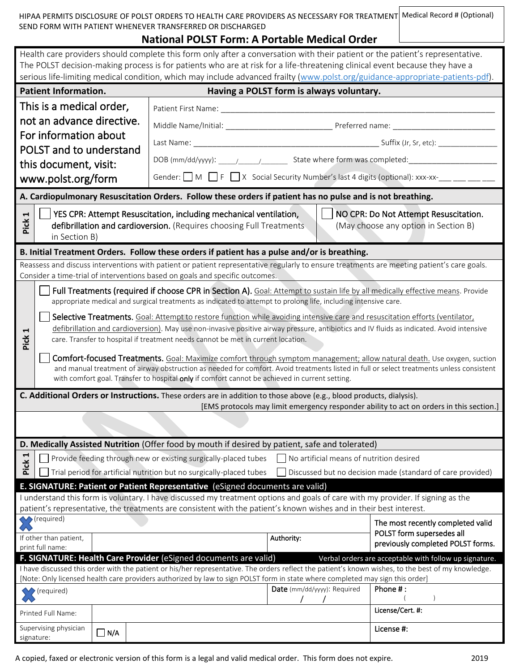| HIPAA PERMITS DISCLOSURE OF POLST ORDERS TO HEALTH CARE PROVIDERS AS NECESSARY FOR TREATMENT Medical Record # (Optional) |  |
|--------------------------------------------------------------------------------------------------------------------------|--|
| SEND FORM WITH PATIENT WHENEVER TRANSFERRED OR DISCHARGED                                                                |  |

## **National POLST Form: A Portable Medical Order**

 $\sqrt{ }$ 

| Health care providers should complete this form only after a conversation with their patient or the patient's representative.<br>The POLST decision-making process is for patients who are at risk for a life-threatening clinical event because they have a<br>serious life-limiting medical condition, which may include advanced frailty (www.polst.org/guidance-appropriate-patients-pdf).                                                                                 |                                                                                                                                                                                                                                                                                                                                                                                                                                                                                                                                                                                                                                                                                                                                                                                                                                                                                                                                                                                            |                                                                                                            |                                          |                                                                                                             |  |
|--------------------------------------------------------------------------------------------------------------------------------------------------------------------------------------------------------------------------------------------------------------------------------------------------------------------------------------------------------------------------------------------------------------------------------------------------------------------------------|--------------------------------------------------------------------------------------------------------------------------------------------------------------------------------------------------------------------------------------------------------------------------------------------------------------------------------------------------------------------------------------------------------------------------------------------------------------------------------------------------------------------------------------------------------------------------------------------------------------------------------------------------------------------------------------------------------------------------------------------------------------------------------------------------------------------------------------------------------------------------------------------------------------------------------------------------------------------------------------------|------------------------------------------------------------------------------------------------------------|------------------------------------------|-------------------------------------------------------------------------------------------------------------|--|
|                                                                                                                                                                                                                                                                                                                                                                                                                                                                                | <b>Patient Information.</b>                                                                                                                                                                                                                                                                                                                                                                                                                                                                                                                                                                                                                                                                                                                                                                                                                                                                                                                                                                |                                                                                                            | Having a POLST form is always voluntary. |                                                                                                             |  |
| This is a medical order,<br>not an advance directive.<br>For information about<br>POLST and to understand<br>this document, visit:<br>www.polst.org/form                                                                                                                                                                                                                                                                                                                       |                                                                                                                                                                                                                                                                                                                                                                                                                                                                                                                                                                                                                                                                                                                                                                                                                                                                                                                                                                                            |                                                                                                            |                                          |                                                                                                             |  |
|                                                                                                                                                                                                                                                                                                                                                                                                                                                                                |                                                                                                                                                                                                                                                                                                                                                                                                                                                                                                                                                                                                                                                                                                                                                                                                                                                                                                                                                                                            |                                                                                                            |                                          | Gender: $\Box$ M $\Box$ F $\Box$ X Social Security Number's last 4 digits (optional): xxx-xx- $\Box$ $\Box$ |  |
|                                                                                                                                                                                                                                                                                                                                                                                                                                                                                |                                                                                                                                                                                                                                                                                                                                                                                                                                                                                                                                                                                                                                                                                                                                                                                                                                                                                                                                                                                            | A. Cardiopulmonary Resuscitation Orders. Follow these orders if patient has no pulse and is not breathing. |                                          |                                                                                                             |  |
| $\blacktriangleleft$<br>Pick                                                                                                                                                                                                                                                                                                                                                                                                                                                   | YES CPR: Attempt Resuscitation, including mechanical ventilation,<br>NO CPR: Do Not Attempt Resuscitation.<br>defibrillation and cardioversion. (Requires choosing Full Treatments<br>(May choose any option in Section B)<br>in Section B)                                                                                                                                                                                                                                                                                                                                                                                                                                                                                                                                                                                                                                                                                                                                                |                                                                                                            |                                          |                                                                                                             |  |
|                                                                                                                                                                                                                                                                                                                                                                                                                                                                                |                                                                                                                                                                                                                                                                                                                                                                                                                                                                                                                                                                                                                                                                                                                                                                                                                                                                                                                                                                                            | B. Initial Treatment Orders. Follow these orders if patient has a pulse and/or is breathing.               |                                          |                                                                                                             |  |
| Reassess and discuss interventions with patient or patient representative regularly to ensure treatments are meeting patient's care goals.<br>Consider a time-trial of interventions based on goals and specific outcomes.                                                                                                                                                                                                                                                     |                                                                                                                                                                                                                                                                                                                                                                                                                                                                                                                                                                                                                                                                                                                                                                                                                                                                                                                                                                                            |                                                                                                            |                                          |                                                                                                             |  |
| H<br>Pick                                                                                                                                                                                                                                                                                                                                                                                                                                                                      | Full Treatments (required if choose CPR in Section A). Goal: Attempt to sustain life by all medically effective means. Provide<br>appropriate medical and surgical treatments as indicated to attempt to prolong life, including intensive care.<br>Selective Treatments. Goal: Attempt to restore function while avoiding intensive care and resuscitation efforts (ventilator,<br>defibrillation and cardioversion). May use non-invasive positive airway pressure, antibiotics and IV fluids as indicated. Avoid intensive<br>care. Transfer to hospital if treatment needs cannot be met in current location.<br>Comfort-focused Treatments. Goal: Maximize comfort through symptom management; allow natural death. Use oxygen, suction<br>and manual treatment of airway obstruction as needed for comfort. Avoid treatments listed in full or select treatments unless consistent<br>with comfort goal. Transfer to hospital only if comfort cannot be achieved in current setting. |                                                                                                            |                                          |                                                                                                             |  |
| C. Additional Orders or Instructions. These orders are in addition to those above (e.g., blood products, dialysis).<br>[EMS protocols may limit emergency responder ability to act on orders in this section.]                                                                                                                                                                                                                                                                 |                                                                                                                                                                                                                                                                                                                                                                                                                                                                                                                                                                                                                                                                                                                                                                                                                                                                                                                                                                                            |                                                                                                            |                                          |                                                                                                             |  |
|                                                                                                                                                                                                                                                                                                                                                                                                                                                                                |                                                                                                                                                                                                                                                                                                                                                                                                                                                                                                                                                                                                                                                                                                                                                                                                                                                                                                                                                                                            |                                                                                                            |                                          |                                                                                                             |  |
| D. Medically Assisted Nutrition (Offer food by mouth if desired by patient, safe and tolerated)                                                                                                                                                                                                                                                                                                                                                                                |                                                                                                                                                                                                                                                                                                                                                                                                                                                                                                                                                                                                                                                                                                                                                                                                                                                                                                                                                                                            |                                                                                                            |                                          |                                                                                                             |  |
| Н<br>Pick                                                                                                                                                                                                                                                                                                                                                                                                                                                                      |                                                                                                                                                                                                                                                                                                                                                                                                                                                                                                                                                                                                                                                                                                                                                                                                                                                                                                                                                                                            | Provide feeding through new or existing surgically-placed tubes                                            | No artificial means of nutrition desired |                                                                                                             |  |
| Trial period for artificial nutrition but no surgically-placed tubes<br>Discussed but no decision made (standard of care provided)<br>E. SIGNATURE: Patient or Patient Representative (eSigned documents are valid)<br>I understand this form is voluntary. I have discussed my treatment options and goals of care with my provider. If signing as the<br>patient's representative, the treatments are consistent with the patient's known wishes and in their best interest. |                                                                                                                                                                                                                                                                                                                                                                                                                                                                                                                                                                                                                                                                                                                                                                                                                                                                                                                                                                                            |                                                                                                            |                                          |                                                                                                             |  |
|                                                                                                                                                                                                                                                                                                                                                                                                                                                                                | (required)<br>If other than patient,<br>print full name:                                                                                                                                                                                                                                                                                                                                                                                                                                                                                                                                                                                                                                                                                                                                                                                                                                                                                                                                   |                                                                                                            | Authority:                               | The most recently completed valid<br>POLST form supersedes all<br>previously completed POLST forms.         |  |
| F. SIGNATURE: Health Care Provider (eSigned documents are valid)<br>Verbal orders are acceptable with follow up signature.<br>I have discussed this order with the patient or his/her representative. The orders reflect the patient's known wishes, to the best of my knowledge.<br>[Note: Only licensed health care providers authorized by law to sign POLST form in state where completed may sign this order]<br>Phone #:<br>Date (mm/dd/yyyy): Required<br>▶ (required)  |                                                                                                                                                                                                                                                                                                                                                                                                                                                                                                                                                                                                                                                                                                                                                                                                                                                                                                                                                                                            |                                                                                                            |                                          |                                                                                                             |  |
|                                                                                                                                                                                                                                                                                                                                                                                                                                                                                | Printed Full Name:<br>Supervising physician                                                                                                                                                                                                                                                                                                                                                                                                                                                                                                                                                                                                                                                                                                                                                                                                                                                                                                                                                |                                                                                                            |                                          | License/Cert. #:                                                                                            |  |
| signature:                                                                                                                                                                                                                                                                                                                                                                                                                                                                     | $\Box$ N/A                                                                                                                                                                                                                                                                                                                                                                                                                                                                                                                                                                                                                                                                                                                                                                                                                                                                                                                                                                                 |                                                                                                            |                                          | License #:                                                                                                  |  |